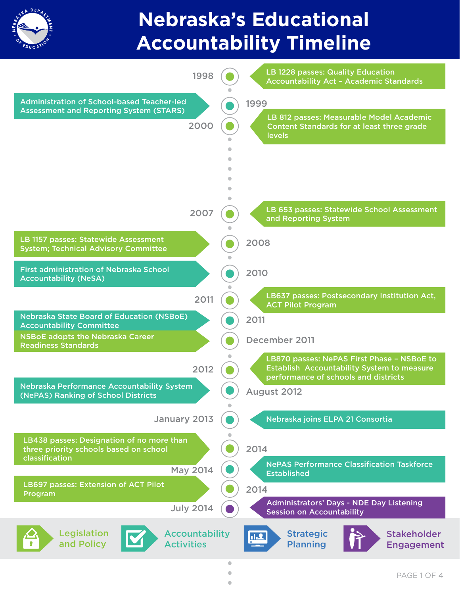

## **Nebraska's Educational Accountability Timeline**

| 1998                                                                                                  |           | <b>LB 1228 passes: Quality Education</b><br><b>Accountability Act - Academic Standards</b>                                       |
|-------------------------------------------------------------------------------------------------------|-----------|----------------------------------------------------------------------------------------------------------------------------------|
| <b>Administration of School-based Teacher-led</b>                                                     |           | 1999                                                                                                                             |
| <b>Assessment and Reporting System (STARS)</b><br>2000                                                |           | LB 812 passes: Measurable Model Academic<br>Content Standards for at least three grade<br><b>levels</b>                          |
|                                                                                                       |           |                                                                                                                                  |
| 2007                                                                                                  |           | LB 653 passes: Statewide School Assessment<br>and Reporting System                                                               |
| LB 1157 passes: Statewide Assessment<br><b>System; Technical Advisory Committee</b>                   |           | 2008                                                                                                                             |
| <b>First administration of Nebraska School</b><br><b>Accountability (NeSA)</b>                        |           | 2010                                                                                                                             |
| 2011                                                                                                  |           | LB637 passes: Postsecondary Institution Act,<br><b>ACT Pilot Program</b>                                                         |
| <b>Nebraska State Board of Education (NSBoE)</b><br><b>Accountability Committee</b>                   |           | 2011                                                                                                                             |
| <b>NSBoE adopts the Nebraska Career</b><br><b>Readiness Standards</b>                                 |           | December 2011                                                                                                                    |
| 2012                                                                                                  |           | LB870 passes: NePAS First Phase - NSBoE to<br>Establish Accountability System to measure<br>performance of schools and districts |
| Nebraska Performance Accountability System<br>(NePAS) Ranking of School Districts                     |           | August 2012                                                                                                                      |
| January 2013                                                                                          | $\bullet$ | Nebraska joins ELPA 21 Consortia                                                                                                 |
| LB438 passes: Designation of no more than<br>three priority schools based on school<br>classification |           | 2014                                                                                                                             |
| <b>May 2014</b>                                                                                       |           | <b>NePAS Performance Classification Taskforce</b><br><b>Established</b>                                                          |
| <b>LB697 passes: Extension of ACT Pilot</b><br>Program                                                |           | 2014                                                                                                                             |
| <b>July 2014</b>                                                                                      |           | <b>Administrators' Days - NDE Day Listening</b><br><b>Session on Accountability</b>                                              |
| Legislation<br><b>Accountability</b><br>and Policy<br><b>Activities</b>                               |           | <b>Strategic</b><br><b>Stakeholder</b><br><u>11.2</u><br><b>Planning</b><br><b>Engagement</b>                                    |

 $\bullet$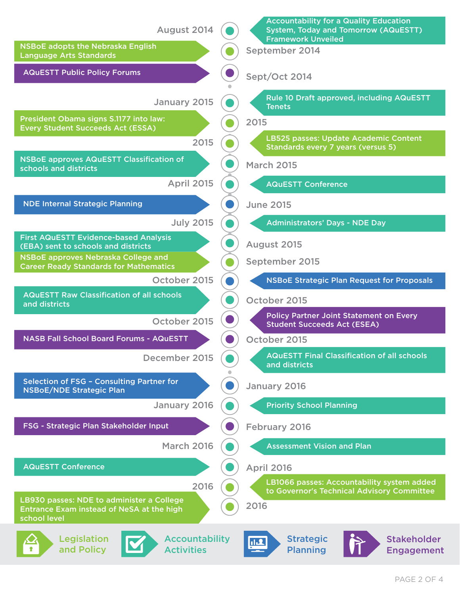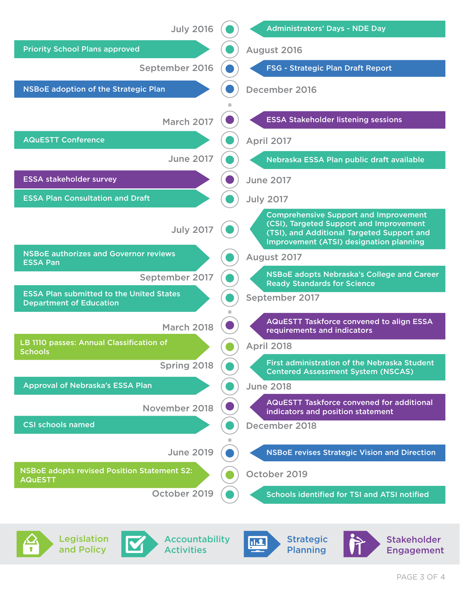